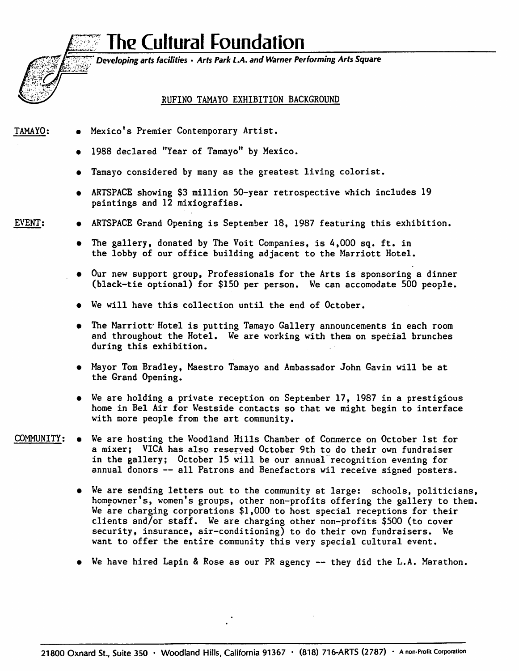## The Cultural Foundation



Developing arts facilities • Arts Park LA. and Warner Performing Arts Square

## RUFINO TAMAYO EXHIBITION BACKGROUND

- TAMAYO; Mexico's Premier Contemporary Artist.
	- 1988 declared "Year of Tamayo" by Mexico.
	- Tamayo considered by many as the greatest living colorist.
	- ARTSPACE showing \$3 million 50-year retrospective which includes 19 paintings and 12 mixiografias.
- 
- EVENT; ARTSPACE Grand Opening is September 18, 1987 featuring this exhibition.
	- The gallery, donated by The Voit Companies, is 4,000 sq. ft. in the lobby of our office building adjacent to the Marriott Hotel.
	- Our new support group. Professionals for the Arts is sponsoring a dinner (black-tie optional) for \$150 per person. We can accomodate 500 people.
	- We will have this collection until the end of October.
	- The Marriott' Hotel is putting Tamayo Gallery announcements in each room and throughout the Hotel. We are working with them on special brunches during this exhibition.
	- Mayor Tom Bradley, Maestro Tamayo and Ambassador John Gavin will be at the Grand Opening.
	- We are holding a private reception on September 17, 1987 in a prestigious home in Bel Air for Westside contacts so that we might begin to interface with more people from the art community.
- COMMUNITY; We are hosting the Woodland Hills Chamber of Commerce on October 1st for a mixer; VICA has also reserved October 9th to do their own fundraiser in the gallery; October 15 will be our annual recognition evening for annual donors — all Patrons and Benefactors wil receive signed posters.
	- We are sending letters out to the community at large: schools, politicians, homeowner's, women's groups, other non-profits offering the gallery to them. We are charging corporations \$1,000 to host special receptions for their clients and/or staff. We are charging other non-profits \$500 (to cover security, insurance, air-conditioning) to do their own fundraisers. We want to offer the entire community this very special cultural event.
	- We have hired Lapin & Rose as our PR agency they did the L.A. Marathon.